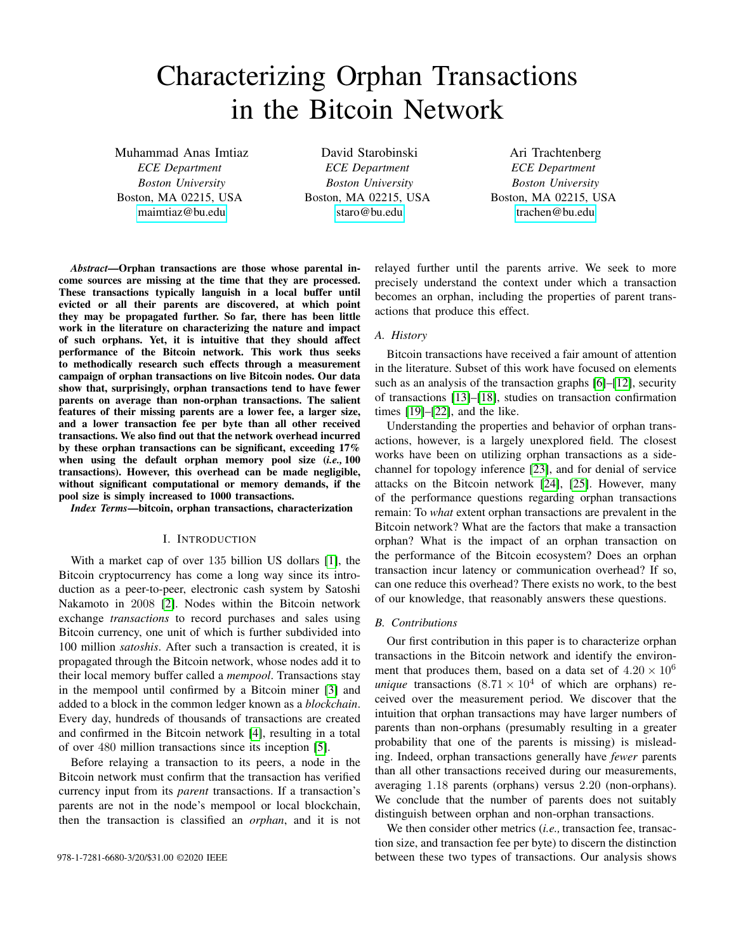# Characterizing Orphan Transactions in the Bitcoin Network

Muhammad Anas Imtiaz *ECE Department*

*Boston University* Boston, MA 02215, USA [maimtiaz@bu.edu](mailto:maimtiaz@bu.edu)

David Starobinski *ECE Department Boston University* Boston, MA 02215, USA [staro@bu.edu](mailto:staro@bu.edu)

Ari Trachtenberg *ECE Department Boston University* Boston, MA 02215, USA [trachen@bu.edu](mailto:trachen@bu.edu)

*Abstract*—Orphan transactions are those whose parental income sources are missing at the time that they are processed. These transactions typically languish in a local buffer until evicted or all their parents are discovered, at which point they may be propagated further. So far, there has been little work in the literature on characterizing the nature and impact of such orphans. Yet, it is intuitive that they should affect performance of the Bitcoin network. This work thus seeks to methodically research such effects through a measurement campaign of orphan transactions on live Bitcoin nodes. Our data show that, surprisingly, orphan transactions tend to have fewer parents on average than non-orphan transactions. The salient features of their missing parents are a lower fee, a larger size, and a lower transaction fee per byte than all other received transactions. We also find out that the network overhead incurred by these orphan transactions can be significant, exceeding 17% when using the default orphan memory pool size (*i.e.,* 100 transactions). However, this overhead can be made negligible, without significant computational or memory demands, if the pool size is simply increased to 1000 transactions.

*Index Terms*—bitcoin, orphan transactions, characterization

#### I. INTRODUCTION

With a market cap of over 135 billion US dollars [\[1\]](#page-8-0), the Bitcoin cryptocurrency has come a long way since its introduction as a peer-to-peer, electronic cash system by Satoshi Nakamoto in 2008 [\[2\]](#page-8-1). Nodes within the Bitcoin network exchange *transactions* to record purchases and sales using Bitcoin currency, one unit of which is further subdivided into 100 million *satoshis*. After such a transaction is created, it is propagated through the Bitcoin network, whose nodes add it to their local memory buffer called a *mempool*. Transactions stay in the mempool until confirmed by a Bitcoin miner [\[3\]](#page-8-2) and added to a block in the common ledger known as a *blockchain*. Every day, hundreds of thousands of transactions are created and confirmed in the Bitcoin network [\[4\]](#page-8-3), resulting in a total of over 480 million transactions since its inception [\[5\]](#page-8-4).

Before relaying a transaction to its peers, a node in the Bitcoin network must confirm that the transaction has verified currency input from its *parent* transactions. If a transaction's parents are not in the node's mempool or local blockchain, then the transaction is classified an *orphan*, and it is not relayed further until the parents arrive. We seek to more precisely understand the context under which a transaction becomes an orphan, including the properties of parent transactions that produce this effect.

#### *A. History*

Bitcoin transactions have received a fair amount of attention in the literature. Subset of this work have focused on elements such as an analysis of the transaction graphs [\[6\]](#page-8-5)–[\[12\]](#page-8-6), security of transactions [\[13\]](#page-8-7)–[\[18\]](#page-8-8), studies on transaction confirmation times [\[19\]](#page-8-9)–[\[22\]](#page-8-10), and the like.

Understanding the properties and behavior of orphan transactions, however, is a largely unexplored field. The closest works have been on utilizing orphan transactions as a sidechannel for topology inference [\[23\]](#page-8-11), and for denial of service attacks on the Bitcoin network [\[24\]](#page-8-12), [\[25\]](#page-8-13). However, many of the performance questions regarding orphan transactions remain: To *what* extent orphan transactions are prevalent in the Bitcoin network? What are the factors that make a transaction orphan? What is the impact of an orphan transaction on the performance of the Bitcoin ecosystem? Does an orphan transaction incur latency or communication overhead? If so, can one reduce this overhead? There exists no work, to the best of our knowledge, that reasonably answers these questions.

## *B. Contributions*

Our first contribution in this paper is to characterize orphan transactions in the Bitcoin network and identify the environment that produces them, based on a data set of  $4.20 \times 10^6$ *unique* transactions  $(8.71 \times 10^4)$  of which are orphans) received over the measurement period. We discover that the intuition that orphan transactions may have larger numbers of parents than non-orphans (presumably resulting in a greater probability that one of the parents is missing) is misleading. Indeed, orphan transactions generally have *fewer* parents than all other transactions received during our measurements, averaging 1.18 parents (orphans) versus 2.20 (non-orphans). We conclude that the number of parents does not suitably distinguish between orphan and non-orphan transactions.

We then consider other metrics *(i.e., transaction fee, transac*tion size, and transaction fee per byte) to discern the distinction 978-1-7281-6680-3/20/\$31.00 ©2020 IEEE between these two types of transactions. Our analysis shows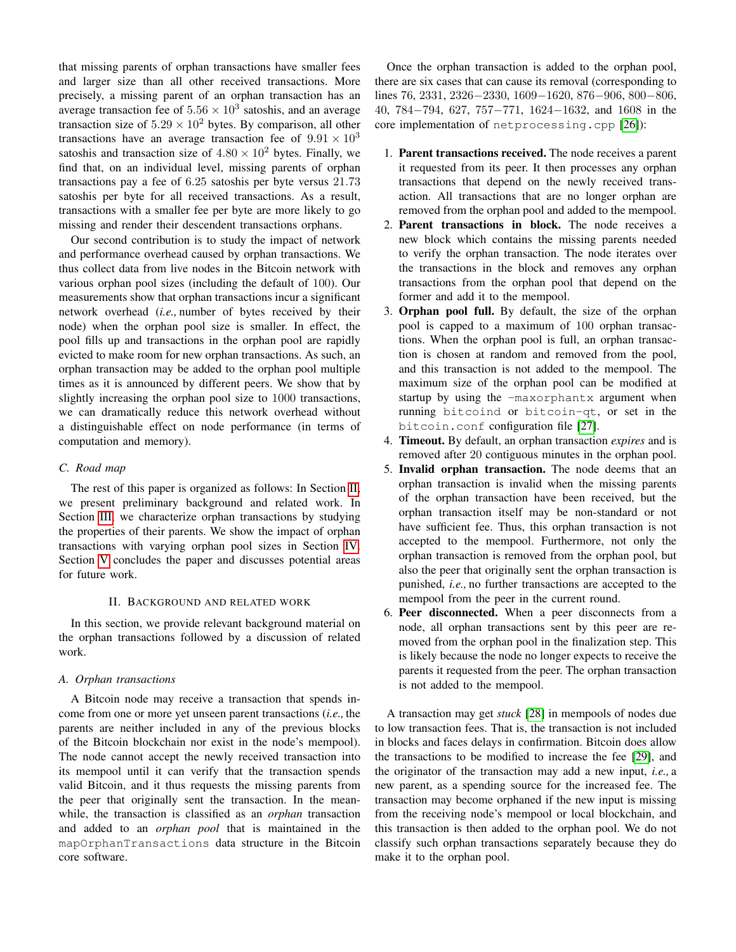that missing parents of orphan transactions have smaller fees and larger size than all other received transactions. More precisely, a missing parent of an orphan transaction has an average transaction fee of  $5.56 \times 10^3$  satoshis, and an average transaction size of  $5.29 \times 10^2$  bytes. By comparison, all other transactions have an average transaction fee of  $9.91 \times 10^3$ satoshis and transaction size of  $4.80 \times 10^2$  bytes. Finally, we find that, on an individual level, missing parents of orphan transactions pay a fee of 6.25 satoshis per byte versus 21.73 satoshis per byte for all received transactions. As a result, transactions with a smaller fee per byte are more likely to go missing and render their descendent transactions orphans.

Our second contribution is to study the impact of network and performance overhead caused by orphan transactions. We thus collect data from live nodes in the Bitcoin network with various orphan pool sizes (including the default of 100). Our measurements show that orphan transactions incur a significant network overhead (*i.e.,* number of bytes received by their node) when the orphan pool size is smaller. In effect, the pool fills up and transactions in the orphan pool are rapidly evicted to make room for new orphan transactions. As such, an orphan transaction may be added to the orphan pool multiple times as it is announced by different peers. We show that by slightly increasing the orphan pool size to 1000 transactions, we can dramatically reduce this network overhead without a distinguishable effect on node performance (in terms of computation and memory).

# *C. Road map*

The rest of this paper is organized as follows: In Section [II,](#page-1-0) we present preliminary background and related work. In Section [III,](#page-2-0) we characterize orphan transactions by studying the properties of their parents. We show the impact of orphan transactions with varying orphan pool sizes in Section [IV.](#page-4-0) Section [V](#page-7-0) concludes the paper and discusses potential areas for future work.

#### II. BACKGROUND AND RELATED WORK

<span id="page-1-0"></span>In this section, we provide relevant background material on the orphan transactions followed by a discussion of related work.

## <span id="page-1-1"></span>*A. Orphan transactions*

A Bitcoin node may receive a transaction that spends income from one or more yet unseen parent transactions (*i.e.,* the parents are neither included in any of the previous blocks of the Bitcoin blockchain nor exist in the node's mempool). The node cannot accept the newly received transaction into its mempool until it can verify that the transaction spends valid Bitcoin, and it thus requests the missing parents from the peer that originally sent the transaction. In the meanwhile, the transaction is classified as an *orphan* transaction and added to an *orphan pool* that is maintained in the mapOrphanTransactions data structure in the Bitcoin core software.

Once the orphan transaction is added to the orphan pool, there are six cases that can cause its removal (corresponding to lines 76, 2331, 2326−2330, 1609−1620, 876−906, 800−806, 40, 784−794, 627, 757−771, 1624−1632, and 1608 in the core implementation of netprocessing.cpp [\[26\]](#page-8-14)):

- 1. Parent transactions received. The node receives a parent it requested from its peer. It then processes any orphan transactions that depend on the newly received transaction. All transactions that are no longer orphan are removed from the orphan pool and added to the mempool.
- 2. Parent transactions in block. The node receives a new block which contains the missing parents needed to verify the orphan transaction. The node iterates over the transactions in the block and removes any orphan transactions from the orphan pool that depend on the former and add it to the mempool.
- 3. Orphan pool full. By default, the size of the orphan pool is capped to a maximum of 100 orphan transactions. When the orphan pool is full, an orphan transaction is chosen at random and removed from the pool, and this transaction is not added to the mempool. The maximum size of the orphan pool can be modified at startup by using the -maxorphantx argument when running bitcoind or bitcoin-qt, or set in the bitcoin.conf configuration file [\[27\]](#page-8-15).
- 4. Timeout. By default, an orphan transaction *expires* and is removed after 20 contiguous minutes in the orphan pool.
- 5. Invalid orphan transaction. The node deems that an orphan transaction is invalid when the missing parents of the orphan transaction have been received, but the orphan transaction itself may be non-standard or not have sufficient fee. Thus, this orphan transaction is not accepted to the mempool. Furthermore, not only the orphan transaction is removed from the orphan pool, but also the peer that originally sent the orphan transaction is punished, *i.e.,* no further transactions are accepted to the mempool from the peer in the current round.
- 6. Peer disconnected. When a peer disconnects from a node, all orphan transactions sent by this peer are removed from the orphan pool in the finalization step. This is likely because the node no longer expects to receive the parents it requested from the peer. The orphan transaction is not added to the mempool.

A transaction may get *stuck* [\[28\]](#page-8-16) in mempools of nodes due to low transaction fees. That is, the transaction is not included in blocks and faces delays in confirmation. Bitcoin does allow the transactions to be modified to increase the fee [\[29\]](#page-8-17), and the originator of the transaction may add a new input, *i.e.,* a new parent, as a spending source for the increased fee. The transaction may become orphaned if the new input is missing from the receiving node's mempool or local blockchain, and this transaction is then added to the orphan pool. We do not classify such orphan transactions separately because they do make it to the orphan pool.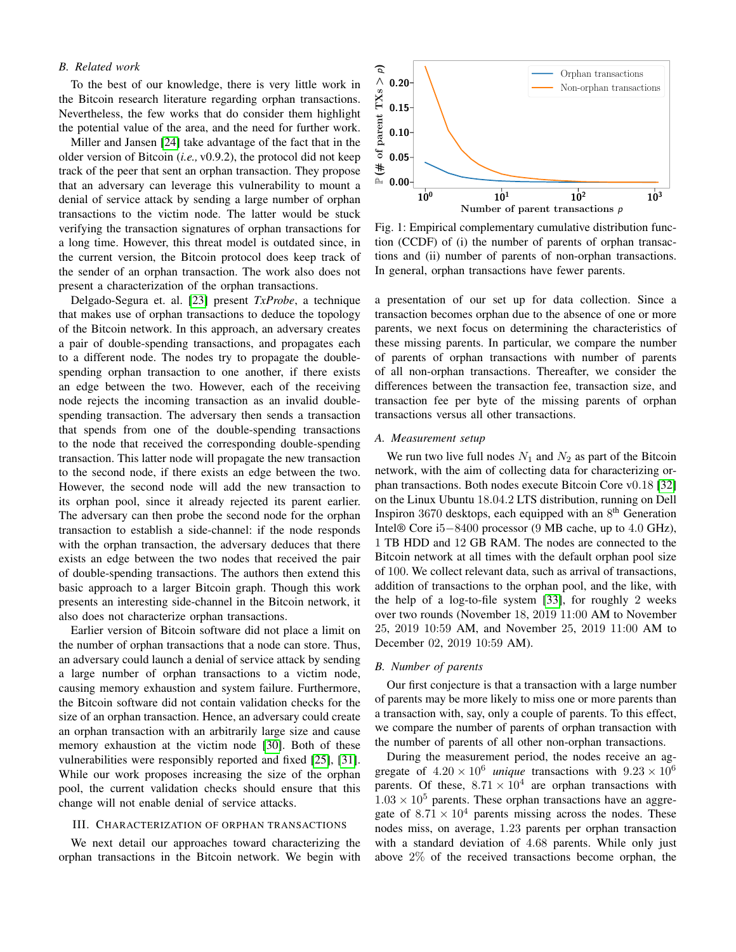# *B. Related work*

To the best of our knowledge, there is very little work in the Bitcoin research literature regarding orphan transactions. Nevertheless, the few works that do consider them highlight the potential value of the area, and the need for further work.

Miller and Jansen [\[24\]](#page-8-12) take advantage of the fact that in the older version of Bitcoin (*i.e.,* v0.9.2), the protocol did not keep track of the peer that sent an orphan transaction. They propose that an adversary can leverage this vulnerability to mount a denial of service attack by sending a large number of orphan transactions to the victim node. The latter would be stuck verifying the transaction signatures of orphan transactions for a long time. However, this threat model is outdated since, in the current version, the Bitcoin protocol does keep track of the sender of an orphan transaction. The work also does not present a characterization of the orphan transactions.

Delgado-Segura et. al. [\[23\]](#page-8-11) present *TxProbe*, a technique that makes use of orphan transactions to deduce the topology of the Bitcoin network. In this approach, an adversary creates a pair of double-spending transactions, and propagates each to a different node. The nodes try to propagate the doublespending orphan transaction to one another, if there exists an edge between the two. However, each of the receiving node rejects the incoming transaction as an invalid doublespending transaction. The adversary then sends a transaction that spends from one of the double-spending transactions to the node that received the corresponding double-spending transaction. This latter node will propagate the new transaction to the second node, if there exists an edge between the two. However, the second node will add the new transaction to its orphan pool, since it already rejected its parent earlier. The adversary can then probe the second node for the orphan transaction to establish a side-channel: if the node responds with the orphan transaction, the adversary deduces that there exists an edge between the two nodes that received the pair of double-spending transactions. The authors then extend this basic approach to a larger Bitcoin graph. Though this work presents an interesting side-channel in the Bitcoin network, it also does not characterize orphan transactions. detail of series ratical costs is enthal to series the material of explanations of the material of series of ephanometrics in the Bitcoin network in the Bitcoin network in the Bitcoin network in the Bitcoin network is a

Earlier version of Bitcoin software did not place a limit on the number of orphan transactions that a node can store. Thus, an adversary could launch a denial of service attack by sending a large number of orphan transactions to a victim node, causing memory exhaustion and system failure. Furthermore, the Bitcoin software did not contain validation checks for the size of an orphan transaction. Hence, an adversary could create an orphan transaction with an arbitrarily large size and cause memory exhaustion at the victim node [\[30\]](#page-8-18). Both of these vulnerabilities were responsibly reported and fixed [\[25\]](#page-8-13), [\[31\]](#page-8-19). While our work proposes increasing the size of the orphan pool, the current validation checks should ensure that this change will not enable denial of service attacks.

# <span id="page-2-0"></span>III. CHARACTERIZATION OF ORPHAN TRANSACTIONS

We next detail our approaches toward characterizing the

<span id="page-2-1"></span>

Fig. 1: Empirical complementary cumulative distribution function (CCDF) of (i) the number of parents of orphan transactions and (ii) number of parents of non-orphan transactions. In general, orphan transactions have fewer parents.

a presentation of our set up for data collection. Since a transaction becomes orphan due to the absence of one or more parents, we next focus on determining the characteristics of these missing parents. In particular, we compare the number of parents of orphan transactions with number of parents of all non-orphan transactions. Thereafter, we consider the differences between the transaction fee, transaction size, and transaction fee per byte of the missing parents of orphan transactions versus all other transactions.

## <span id="page-2-2"></span>*A. Measurement setup*

We run two live full nodes  $N_1$  and  $N_2$  as part of the Bitcoin network, with the aim of collecting data for characterizing orphan transactions. Both nodes execute Bitcoin Core v0.18 [\[32\]](#page-8-20) on the Linux Ubuntu 18.04.2 LTS distribution, running on Dell Inspiron  $3670$  desktops, each equipped with an  $8<sup>th</sup>$  Generation Intel® Core i5−8400 processor (9 MB cache, up to 4.0 GHz), 1 TB HDD and 12 GB RAM. The nodes are connected to the Bitcoin network at all times with the default orphan pool size of 100. We collect relevant data, such as arrival of transactions, addition of transactions to the orphan pool, and the like, with the help of a log-to-file system [\[33\]](#page-8-21), for roughly 2 weeks over two rounds (November 18, 2019 11:00 AM to November 25, 2019 10:59 AM, and November 25, 2019 11:00 AM to December 02, 2019 10:59 AM).

## *B. Number of parents*

Our first conjecture is that a transaction with a large number of parents may be more likely to miss one or more parents than a transaction with, say, only a couple of parents. To this effect, we compare the number of parents of orphan transaction with the number of parents of all other non-orphan transactions.

During the measurement period, the nodes receive an aggregate of  $4.20 \times 10^6$  *unique* transactions with  $9.23 \times 10^6$ parents. Of these,  $8.71 \times 10^4$  are orphan transactions with  $1.03 \times 10^5$  parents. These orphan transactions have an aggregate of  $8.71 \times 10^4$  parents missing across the nodes. These nodes miss, on average, 1.23 parents per orphan transaction with a standard deviation of 4.68 parents. While only just above 2% of the received transactions become orphan, the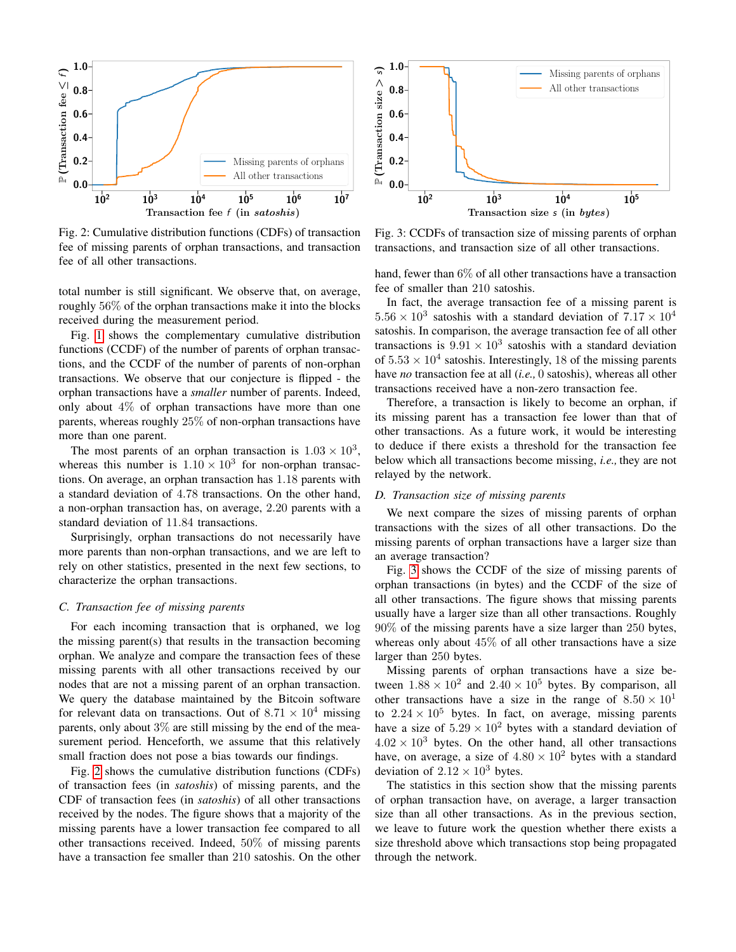<span id="page-3-0"></span>

Fig. 2: Cumulative distribution functions (CDFs) of transaction fee of missing parents of orphan transactions, and transaction fee of all other transactions.

total number is still significant. We observe that, on average, roughly 56% of the orphan transactions make it into the blocks received during the measurement period.

Fig. [1](#page-2-1) shows the complementary cumulative distribution functions (CCDF) of the number of parents of orphan transactions, and the CCDF of the number of parents of non-orphan transactions. We observe that our conjecture is flipped - the orphan transactions have a *smaller* number of parents. Indeed, only about 4% of orphan transactions have more than one parents, whereas roughly 25% of non-orphan transactions have more than one parent.

The most parents of an orphan transaction is  $1.03 \times 10^3$ , whereas this number is  $1.10 \times 10^3$  for non-orphan transactions. On average, an orphan transaction has 1.18 parents with a standard deviation of 4.78 transactions. On the other hand, a non-orphan transaction has, on average, 2.20 parents with a standard deviation of 11.84 transactions.

Surprisingly, orphan transactions do not necessarily have more parents than non-orphan transactions, and we are left to rely on other statistics, presented in the next few sections, to characterize the orphan transactions.

## <span id="page-3-2"></span>*C. Transaction fee of missing parents*

For each incoming transaction that is orphaned, we log the missing parent(s) that results in the transaction becoming orphan. We analyze and compare the transaction fees of these missing parents with all other transactions received by our nodes that are not a missing parent of an orphan transaction. We query the database maintained by the Bitcoin software for relevant data on transactions. Out of  $8.71 \times 10^4$  missing parents, only about  $3\%$  are still missing by the end of the measurement period. Henceforth, we assume that this relatively small fraction does not pose a bias towards our findings.

Fig. [2](#page-3-0) shows the cumulative distribution functions (CDFs) of transaction fees (in *satoshis*) of missing parents, and the CDF of transaction fees (in *satoshis*) of all other transactions received by the nodes. The figure shows that a majority of the missing parents have a lower transaction fee compared to all other transactions received. Indeed, 50% of missing parents have a transaction fee smaller than 210 satoshis. On the other

<span id="page-3-1"></span>

Fig. 3: CCDFs of transaction size of missing parents of orphan transactions, and transaction size of all other transactions.

hand, fewer than 6% of all other transactions have a transaction fee of smaller than 210 satoshis.

In fact, the average transaction fee of a missing parent is  $5.56 \times 10^3$  satoshis with a standard deviation of  $7.17 \times 10^4$ satoshis. In comparison, the average transaction fee of all other transactions is  $9.91 \times 10^3$  satoshis with a standard deviation of  $5.53 \times 10^4$  satoshis. Interestingly, 18 of the missing parents have *no* transaction fee at all (*i.e.,* 0 satoshis), whereas all other transactions received have a non-zero transaction fee.

Therefore, a transaction is likely to become an orphan, if its missing parent has a transaction fee lower than that of other transactions. As a future work, it would be interesting to deduce if there exists a threshold for the transaction fee below which all transactions become missing, *i.e.,* they are not relayed by the network.

#### <span id="page-3-3"></span>*D. Transaction size of missing parents*

We next compare the sizes of missing parents of orphan transactions with the sizes of all other transactions. Do the missing parents of orphan transactions have a larger size than an average transaction?

Fig. [3](#page-3-1) shows the CCDF of the size of missing parents of orphan transactions (in bytes) and the CCDF of the size of all other transactions. The figure shows that missing parents usually have a larger size than all other transactions. Roughly 90% of the missing parents have a size larger than 250 bytes, whereas only about 45% of all other transactions have a size larger than 250 bytes.

Missing parents of orphan transactions have a size between  $1.88 \times 10^2$  and  $2.40 \times 10^5$  bytes. By comparison, all other transactions have a size in the range of  $8.50 \times 10^{1}$ to  $2.24 \times 10^5$  bytes. In fact, on average, missing parents have a size of  $5.29 \times 10^2$  bytes with a standard deviation of  $4.02 \times 10^3$  bytes. On the other hand, all other transactions have, on average, a size of  $4.80 \times 10^2$  bytes with a standard deviation of  $2.12 \times 10^3$  bytes.

The statistics in this section show that the missing parents of orphan transaction have, on average, a larger transaction size than all other transactions. As in the previous section, we leave to future work the question whether there exists a size threshold above which transactions stop being propagated through the network.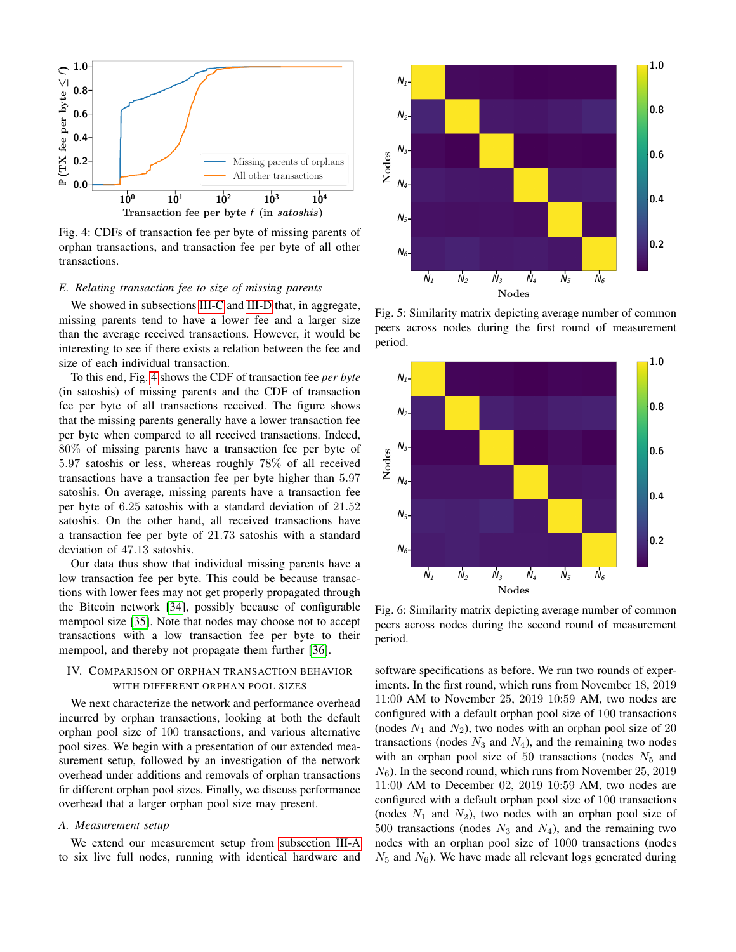<span id="page-4-1"></span>

Fig. 4: CDFs of transaction fee per byte of missing parents of orphan transactions, and transaction fee per byte of all other transactions.

#### *E. Relating transaction fee to size of missing parents*

We showed in subsections [III-C](#page-3-2) and [III-D](#page-3-3) that, in aggregate, missing parents tend to have a lower fee and a larger size than the average received transactions. However, it would be interesting to see if there exists a relation between the fee and size of each individual transaction.

To this end, Fig. [4](#page-4-1) shows the CDF of transaction fee *per byte* (in satoshis) of missing parents and the CDF of transaction fee per byte of all transactions received. The figure shows that the missing parents generally have a lower transaction fee per byte when compared to all received transactions. Indeed, 80% of missing parents have a transaction fee per byte of 5.97 satoshis or less, whereas roughly 78% of all received transactions have a transaction fee per byte higher than 5.97 satoshis. On average, missing parents have a transaction fee per byte of 6.25 satoshis with a standard deviation of 21.52 satoshis. On the other hand, all received transactions have a transaction fee per byte of 21.73 satoshis with a standard deviation of 47.13 satoshis.

Our data thus show that individual missing parents have a low transaction fee per byte. This could be because transactions with lower fees may not get properly propagated through the Bitcoin network [\[34\]](#page-8-22), possibly because of configurable mempool size [\[35\]](#page-8-23). Note that nodes may choose not to accept transactions with a low transaction fee per byte to their mempool, and thereby not propagate them further [\[36\]](#page-8-24).

# <span id="page-4-0"></span>IV. COMPARISON OF ORPHAN TRANSACTION BEHAVIOR WITH DIFFERENT ORPHAN POOL SIZES

We next characterize the network and performance overhead incurred by orphan transactions, looking at both the default orphan pool size of 100 transactions, and various alternative pool sizes. We begin with a presentation of our extended measurement setup, followed by an investigation of the network overhead under additions and removals of orphan transactions fir different orphan pool sizes. Finally, we discuss performance overhead that a larger orphan pool size may present.

# *A. Measurement setup*

We extend our measurement setup from [subsection III-A](#page-2-2) to six live full nodes, running with identical hardware and

<span id="page-4-2"></span>

Fig. 5: Similarity matrix depicting average number of common peers across nodes during the first round of measurement period.

<span id="page-4-3"></span>

Fig. 6: Similarity matrix depicting average number of common peers across nodes during the second round of measurement period.

software specifications as before. We run two rounds of experiments. In the first round, which runs from November 18, 2019 11:00 AM to November 25, 2019 10:59 AM, two nodes are configured with a default orphan pool size of 100 transactions (nodes  $N_1$  and  $N_2$ ), two nodes with an orphan pool size of 20 transactions (nodes  $N_3$  and  $N_4$ ), and the remaining two nodes with an orphan pool size of 50 transactions (nodes  $N_5$  and  $N_6$ ). In the second round, which runs from November 25, 2019 11:00 AM to December 02, 2019 10:59 AM, two nodes are configured with a default orphan pool size of 100 transactions (nodes  $N_1$  and  $N_2$ ), two nodes with an orphan pool size of 500 transactions (nodes  $N_3$  and  $N_4$ ), and the remaining two nodes with an orphan pool size of 1000 transactions (nodes  $N_5$  and  $N_6$ ). We have made all relevant logs generated during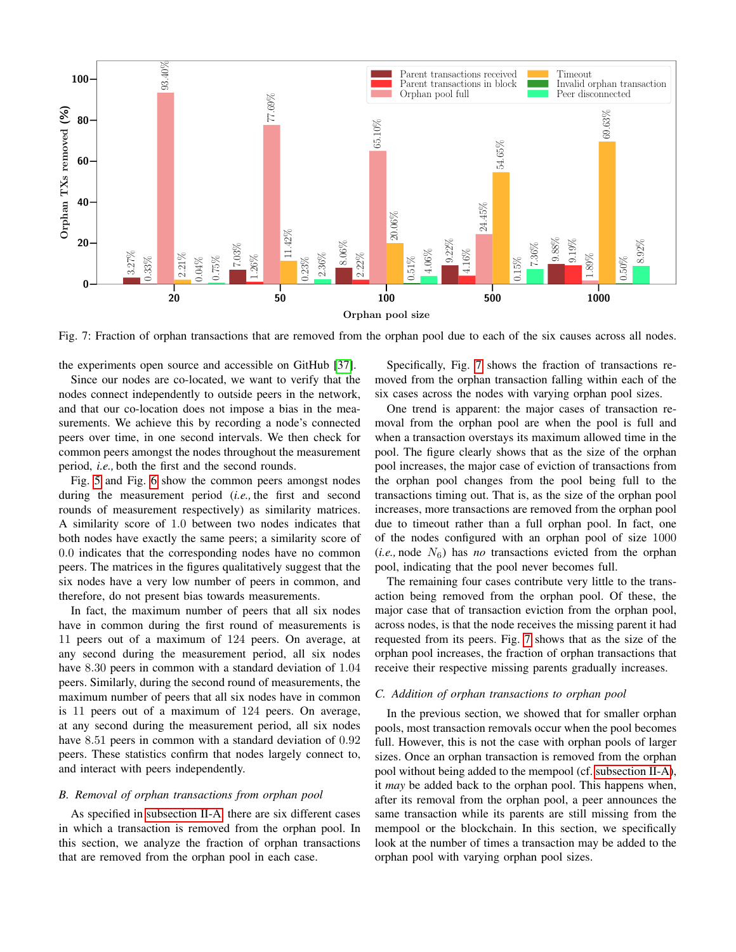<span id="page-5-0"></span>

Fig. 7: Fraction of orphan transactions that are removed from the orphan pool due to each of the six causes across all nodes.

the experiments open source and accessible on GitHub [\[37\]](#page-8-25).

Since our nodes are co-located, we want to verify that the nodes connect independently to outside peers in the network, and that our co-location does not impose a bias in the measurements. We achieve this by recording a node's connected peers over time, in one second intervals. We then check for common peers amongst the nodes throughout the measurement period, *i.e.,* both the first and the second rounds.

Fig. [5](#page-4-2) and Fig. [6](#page-4-3) show the common peers amongst nodes during the measurement period (*i.e.,* the first and second rounds of measurement respectively) as similarity matrices. A similarity score of 1.0 between two nodes indicates that both nodes have exactly the same peers; a similarity score of 0.0 indicates that the corresponding nodes have no common peers. The matrices in the figures qualitatively suggest that the six nodes have a very low number of peers in common, and therefore, do not present bias towards measurements.

In fact, the maximum number of peers that all six nodes have in common during the first round of measurements is 11 peers out of a maximum of 124 peers. On average, at any second during the measurement period, all six nodes have 8.30 peers in common with a standard deviation of 1.04 peers. Similarly, during the second round of measurements, the maximum number of peers that all six nodes have in common is 11 peers out of a maximum of 124 peers. On average, at any second during the measurement period, all six nodes have 8.51 peers in common with a standard deviation of 0.92 peers. These statistics confirm that nodes largely connect to, and interact with peers independently.

# *B. Removal of orphan transactions from orphan pool*

As specified in [subsection II-A,](#page-1-1) there are six different cases in which a transaction is removed from the orphan pool. In this section, we analyze the fraction of orphan transactions that are removed from the orphan pool in each case.

Specifically, Fig. [7](#page-5-0) shows the fraction of transactions removed from the orphan transaction falling within each of the six cases across the nodes with varying orphan pool sizes.

One trend is apparent: the major cases of transaction removal from the orphan pool are when the pool is full and when a transaction overstays its maximum allowed time in the pool. The figure clearly shows that as the size of the orphan pool increases, the major case of eviction of transactions from the orphan pool changes from the pool being full to the transactions timing out. That is, as the size of the orphan pool increases, more transactions are removed from the orphan pool due to timeout rather than a full orphan pool. In fact, one of the nodes configured with an orphan pool of size 1000  $(i.e., node N<sub>6</sub>)$  has *no* transactions evicted from the orphan pool, indicating that the pool never becomes full.

The remaining four cases contribute very little to the transaction being removed from the orphan pool. Of these, the major case that of transaction eviction from the orphan pool, across nodes, is that the node receives the missing parent it had requested from its peers. Fig. [7](#page-5-0) shows that as the size of the orphan pool increases, the fraction of orphan transactions that receive their respective missing parents gradually increases.

## <span id="page-5-1"></span>*C. Addition of orphan transactions to orphan pool*

In the previous section, we showed that for smaller orphan pools, most transaction removals occur when the pool becomes full. However, this is not the case with orphan pools of larger sizes. Once an orphan transaction is removed from the orphan pool without being added to the mempool (cf. [subsection II-A\)](#page-1-1), it *may* be added back to the orphan pool. This happens when, after its removal from the orphan pool, a peer announces the same transaction while its parents are still missing from the mempool or the blockchain. In this section, we specifically look at the number of times a transaction may be added to the orphan pool with varying orphan pool sizes.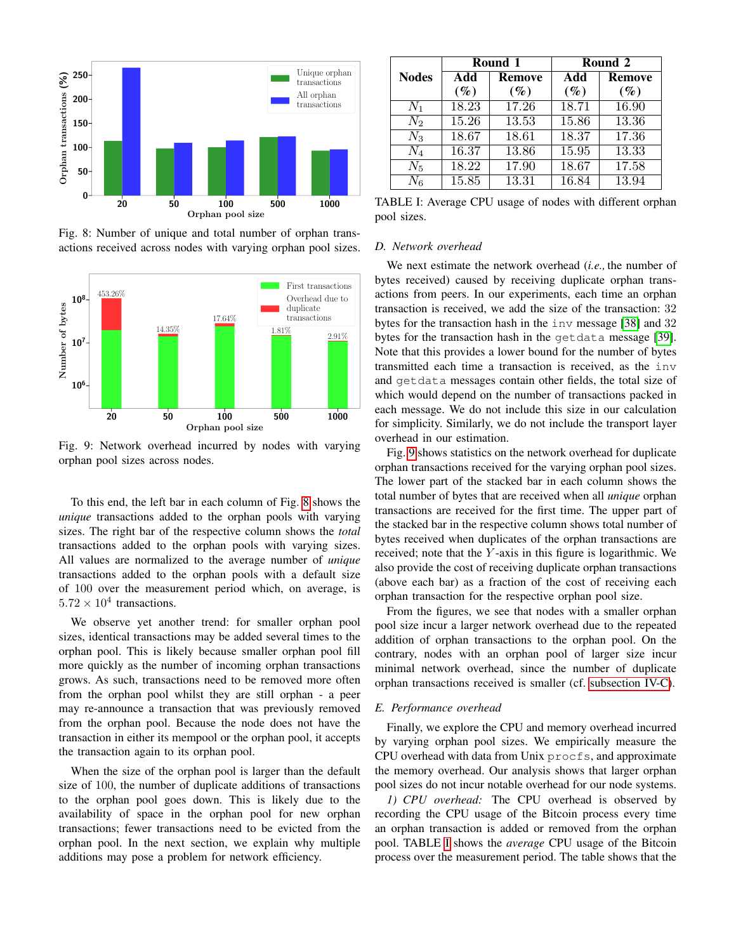<span id="page-6-0"></span>

Fig. 8: Number of unique and total number of orphan transactions received across nodes with varying orphan pool sizes.

<span id="page-6-1"></span>

Fig. 9: Network overhead incurred by nodes with varying orphan pool sizes across nodes.

To this end, the left bar in each column of Fig. [8](#page-6-0) shows the *unique* transactions added to the orphan pools with varying sizes. The right bar of the respective column shows the *total* transactions added to the orphan pools with varying sizes. All values are normalized to the average number of *unique* transactions added to the orphan pools with a default size of 100 over the measurement period which, on average, is  $5.72 \times 10^4$  transactions.

We observe yet another trend: for smaller orphan pool sizes, identical transactions may be added several times to the orphan pool. This is likely because smaller orphan pool fill more quickly as the number of incoming orphan transactions grows. As such, transactions need to be removed more often from the orphan pool whilst they are still orphan - a peer may re-announce a transaction that was previously removed from the orphan pool. Because the node does not have the transaction in either its mempool or the orphan pool, it accepts the transaction again to its orphan pool.

When the size of the orphan pool is larger than the default size of 100, the number of duplicate additions of transactions to the orphan pool goes down. This is likely due to the availability of space in the orphan pool for new orphan transactions; fewer transactions need to be evicted from the orphan pool. In the next section, we explain why multiple additions may pose a problem for network efficiency.

<span id="page-6-2"></span>

|              | Round 1 |                    | Round 2 |               |
|--------------|---------|--------------------|---------|---------------|
| <b>Nodes</b> | Add     | Remove             | Add     | <b>Remove</b> |
|              | $(\%)$  | $(\%)$             | $(\%)$  | $(\%)$        |
| $N_1$        | 18.23   | 17.26              | 18.71   | 16.90         |
| $N_2$        | 15.26   | 13.53              | 15.86   | 13.36         |
| $N_3$        | 18.67   | 18.61              | 18.37   | 17.36         |
| $N_4$        | 16.37   | $13.\overline{86}$ | 15.95   | 13.33         |
| $N_5$        | 18.22   | 17.90              | 18.67   | 17.58         |
| N6           | 15.85   | 13.31              | 16.84   | 13.94         |

TABLE I: Average CPU usage of nodes with different orphan pool sizes.

#### *D. Network overhead*

 $2.91\%$  | bytes for the transaction hash in the getdata message [\[39\]](#page-8-27). We next estimate the network overhead (*i.e.,* the number of bytes received) caused by receiving duplicate orphan transactions from peers. In our experiments, each time an orphan transaction is received, we add the size of the transaction: 32 bytes for the transaction hash in the inv message [\[38\]](#page-8-26) and 32 Note that this provides a lower bound for the number of bytes transmitted each time a transaction is received, as the inv and getdata messages contain other fields, the total size of which would depend on the number of transactions packed in each message. We do not include this size in our calculation for simplicity. Similarly, we do not include the transport layer overhead in our estimation.

> Fig. [9](#page-6-1) shows statistics on the network overhead for duplicate orphan transactions received for the varying orphan pool sizes. The lower part of the stacked bar in each column shows the total number of bytes that are received when all *unique* orphan transactions are received for the first time. The upper part of the stacked bar in the respective column shows total number of bytes received when duplicates of the orphan transactions are received; note that the Y -axis in this figure is logarithmic. We also provide the cost of receiving duplicate orphan transactions (above each bar) as a fraction of the cost of receiving each orphan transaction for the respective orphan pool size.

> From the figures, we see that nodes with a smaller orphan pool size incur a larger network overhead due to the repeated addition of orphan transactions to the orphan pool. On the contrary, nodes with an orphan pool of larger size incur minimal network overhead, since the number of duplicate orphan transactions received is smaller (cf. [subsection IV-C\)](#page-5-1).

## *E. Performance overhead*

Finally, we explore the CPU and memory overhead incurred by varying orphan pool sizes. We empirically measure the CPU overhead with data from Unix procfs, and approximate the memory overhead. Our analysis shows that larger orphan pool sizes do not incur notable overhead for our node systems.

*1) CPU overhead:* The CPU overhead is observed by recording the CPU usage of the Bitcoin process every time an orphan transaction is added or removed from the orphan pool. TABLE [I](#page-6-2) shows the *average* CPU usage of the Bitcoin process over the measurement period. The table shows that the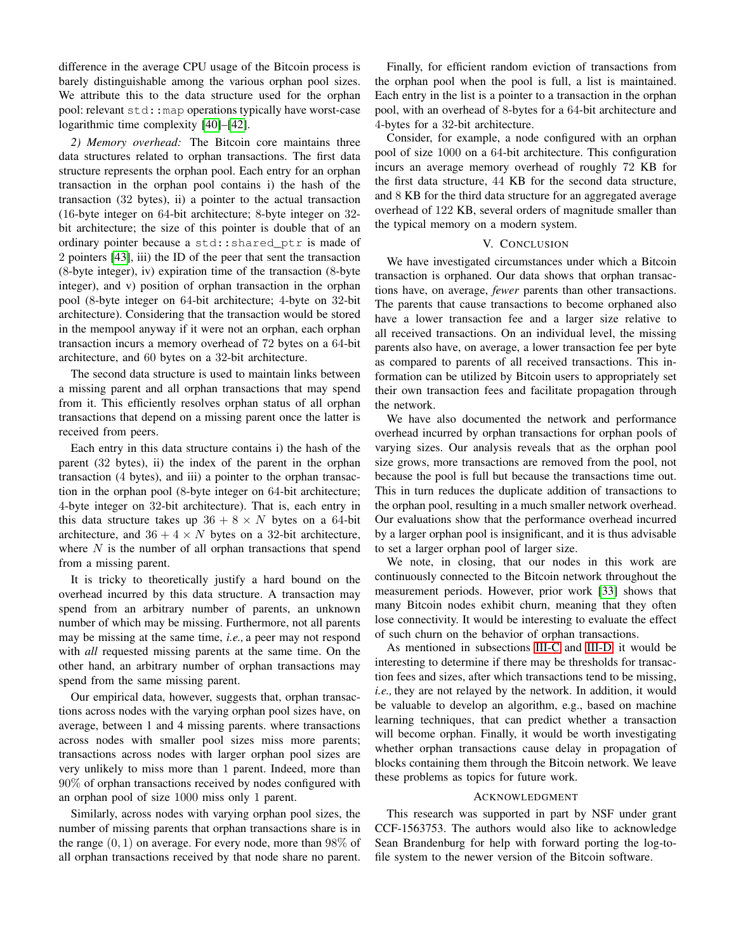difference in the average CPU usage of the Bitcoin process is barely distinguishable among the various orphan pool sizes. We attribute this to the data structure used for the orphan pool: relevant std::map operations typically have worst-case logarithmic time complexity [\[40\]](#page-8-28)–[\[42\]](#page-8-29).

*2) Memory overhead:* The Bitcoin core maintains three data structures related to orphan transactions. The first data structure represents the orphan pool. Each entry for an orphan transaction in the orphan pool contains i) the hash of the transaction (32 bytes), ii) a pointer to the actual transaction (16-byte integer on 64-bit architecture; 8-byte integer on 32 bit architecture; the size of this pointer is double that of an ordinary pointer because a std::shared\_ptr is made of 2 pointers [\[43\]](#page-8-30), iii) the ID of the peer that sent the transaction (8-byte integer), iv) expiration time of the transaction (8-byte integer), and v) position of orphan transaction in the orphan pool (8-byte integer on 64-bit architecture; 4-byte on 32-bit architecture). Considering that the transaction would be stored in the mempool anyway if it were not an orphan, each orphan transaction incurs a memory overhead of 72 bytes on a 64-bit architecture, and 60 bytes on a 32-bit architecture.

The second data structure is used to maintain links between a missing parent and all orphan transactions that may spend from it. This efficiently resolves orphan status of all orphan transactions that depend on a missing parent once the latter is received from peers.

Each entry in this data structure contains i) the hash of the parent (32 bytes), ii) the index of the parent in the orphan transaction (4 bytes), and iii) a pointer to the orphan transaction in the orphan pool (8-byte integer on 64-bit architecture; 4-byte integer on 32-bit architecture). That is, each entry in this data structure takes up  $36 + 8 \times N$  bytes on a 64-bit architecture, and  $36 + 4 \times N$  bytes on a 32-bit architecture, where  $N$  is the number of all orphan transactions that spend from a missing parent.

It is tricky to theoretically justify a hard bound on the overhead incurred by this data structure. A transaction may spend from an arbitrary number of parents, an unknown number of which may be missing. Furthermore, not all parents may be missing at the same time, *i.e.,* a peer may not respond with *all* requested missing parents at the same time. On the other hand, an arbitrary number of orphan transactions may spend from the same missing parent.

Our empirical data, however, suggests that, orphan transactions across nodes with the varying orphan pool sizes have, on average, between 1 and 4 missing parents. where transactions across nodes with smaller pool sizes miss more parents; transactions across nodes with larger orphan pool sizes are very unlikely to miss more than 1 parent. Indeed, more than 90% of orphan transactions received by nodes configured with an orphan pool of size 1000 miss only 1 parent.

Similarly, across nodes with varying orphan pool sizes, the number of missing parents that orphan transactions share is in the range  $(0, 1)$  on average. For every node, more than  $98\%$  of all orphan transactions received by that node share no parent.

Finally, for efficient random eviction of transactions from the orphan pool when the pool is full, a list is maintained. Each entry in the list is a pointer to a transaction in the orphan pool, with an overhead of 8-bytes for a 64-bit architecture and 4-bytes for a 32-bit architecture.

Consider, for example, a node configured with an orphan pool of size 1000 on a 64-bit architecture. This configuration incurs an average memory overhead of roughly 72 KB for the first data structure, 44 KB for the second data structure, and 8 KB for the third data structure for an aggregated average overhead of 122 KB, several orders of magnitude smaller than the typical memory on a modern system.

#### V. CONCLUSION

<span id="page-7-0"></span>We have investigated circumstances under which a Bitcoin transaction is orphaned. Our data shows that orphan transactions have, on average, *fewer* parents than other transactions. The parents that cause transactions to become orphaned also have a lower transaction fee and a larger size relative to all received transactions. On an individual level, the missing parents also have, on average, a lower transaction fee per byte as compared to parents of all received transactions. This information can be utilized by Bitcoin users to appropriately set their own transaction fees and facilitate propagation through the network.

We have also documented the network and performance overhead incurred by orphan transactions for orphan pools of varying sizes. Our analysis reveals that as the orphan pool size grows, more transactions are removed from the pool, not because the pool is full but because the transactions time out. This in turn reduces the duplicate addition of transactions to the orphan pool, resulting in a much smaller network overhead. Our evaluations show that the performance overhead incurred by a larger orphan pool is insignificant, and it is thus advisable to set a larger orphan pool of larger size.

We note, in closing, that our nodes in this work are continuously connected to the Bitcoin network throughout the measurement periods. However, prior work [\[33\]](#page-8-21) shows that many Bitcoin nodes exhibit churn, meaning that they often lose connectivity. It would be interesting to evaluate the effect of such churn on the behavior of orphan transactions.

As mentioned in subsections [III-C](#page-3-2) and [III-D](#page-3-3) it would be interesting to determine if there may be thresholds for transaction fees and sizes, after which transactions tend to be missing, *i.e.,* they are not relayed by the network. In addition, it would be valuable to develop an algorithm, e.g., based on machine learning techniques, that can predict whether a transaction will become orphan. Finally, it would be worth investigating whether orphan transactions cause delay in propagation of blocks containing them through the Bitcoin network. We leave these problems as topics for future work.

#### ACKNOWLEDGMENT

This research was supported in part by NSF under grant CCF-1563753. The authors would also like to acknowledge Sean Brandenburg for help with forward porting the log-tofile system to the newer version of the Bitcoin software.